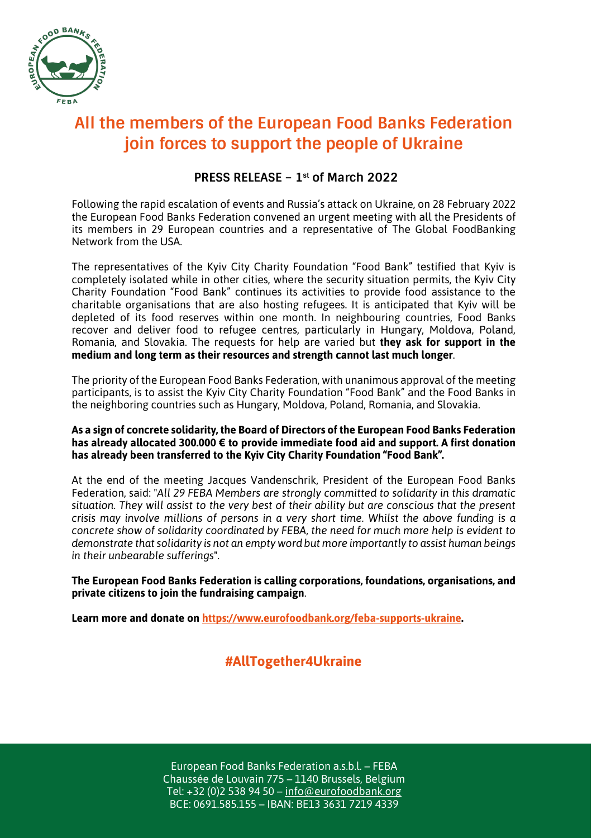

# **All the members of the European Food Banks Federation join forces to support the people of Ukraine**

### **PRESS RELEASE – 1st of March 2022**

Following the rapid escalation of events and Russia's attack on Ukraine, on 28 February 2022 the European Food Banks Federation convened an urgent meeting with all the Presidents of its members in 29 European countries and a representative of The Global FoodBanking Network from the USA.

The representatives of the Kyiv City Charity Foundation "Food Bank" testified that Kyiv is completely isolated while in other cities, where the security situation permits, the Kyiv City Charity Foundation "Food Bank" continues its activities to provide food assistance to the charitable organisations that are also hosting refugees. It is anticipated that Kyiv will be depleted of its food reserves within one month. In neighbouring countries, Food Banks recover and deliver food to refugee centres, particularly in Hungary, Moldova, Poland, Romania, and Slovakia. The requests for help are varied but **they ask for support in the medium and long term as their resources and strength cannot last much longer**.

The priority of the European Food Banks Federation, with unanimous approval of the meeting participants, is to assist the Kyiv City Charity Foundation "Food Bank" and the Food Banks in the neighboring countries such as Hungary, Moldova, Poland, Romania, and Slovakia.

#### **As a sign of concrete solidarity, the Board of Directors of the European Food Banks Federation has already allocated 300.000 € to provide immediate food aid and support. A first donation has already been transferred to the Kyiv City Charity Foundation "Food Bank".**

At the end of the meeting Jacques Vandenschrik, President of the European Food Banks Federation, said: "*All 29 FEBA Members are strongly committed to solidarity in this dramatic situation. They will assist to the very best of their ability but are conscious that the present crisis may involve millions of persons in a very short time. Whilst the above funding is a concrete show of solidarity coordinated by FEBA, the need for much more help is evident to demonstrate that solidarity is not an empty word but more importantly to assist human beings in their unbearable sufferings*".

**The European Food Banks Federation is calling corporations, foundations, organisations, and private citizens to join the fundraising campaign**.

**Learn more and donate on https://www.eurofoodbank.org/feba-supports-ukraine.**

## **#AllTogether4Ukraine**

European Food Banks Federation a.s.b.l. – FEBA Chaussée de Louvain 775 – 1140 Brussels, Belgium Tel: +32 (0)2 538 94 50 – info@eurofoodbank.org BCE: 0691.585.155 – IBAN: BE13 3631 7219 4339